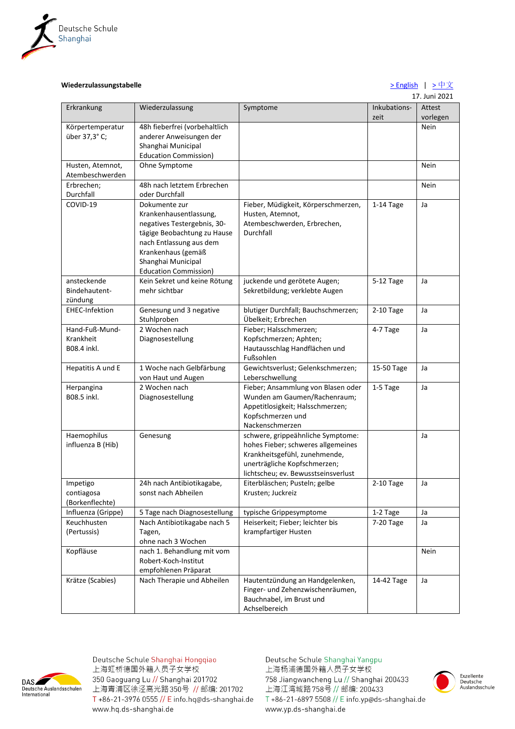

## **Wiederzulassungstabelle**  $\rightarrow$  English |  $\rightarrow$   $\frac{\psi}{\chi}$

17. Juni 2021

|                                     |                               |                                     |                      | 17. JUI LUZI       |
|-------------------------------------|-------------------------------|-------------------------------------|----------------------|--------------------|
| Erkrankung                          | Wiederzulassung               | Symptome                            | Inkubations-<br>zeit | Attest<br>vorlegen |
| Körpertemperatur                    | 48h fieberfrei (vorbehaltlich |                                     |                      | <b>Nein</b>        |
| über 37,3° C;                       | anderer Anweisungen der       |                                     |                      |                    |
|                                     | Shanghai Municipal            |                                     |                      |                    |
|                                     | <b>Education Commission)</b>  |                                     |                      |                    |
| Husten, Atemnot,<br>Atembeschwerden | Ohne Symptome                 |                                     |                      | Nein               |
| Erbrechen;                          | 48h nach letztem Erbrechen    |                                     |                      | Nein               |
| Durchfall                           | oder Durchfall                |                                     |                      |                    |
| COVID-19                            | Dokumente zur                 | Fieber, Müdigkeit, Körperschmerzen, | $1-14$ Tage          | Ja                 |
|                                     | Krankenhausentlassung,        | Husten, Atemnot,                    |                      |                    |
|                                     | negatives Testergebnis, 30-   | Atembeschwerden, Erbrechen,         |                      |                    |
|                                     | tägige Beobachtung zu Hause   | Durchfall                           |                      |                    |
|                                     | nach Entlassung aus dem       |                                     |                      |                    |
|                                     | Krankenhaus (gemäß            |                                     |                      |                    |
|                                     | Shanghai Municipal            |                                     |                      |                    |
|                                     | <b>Education Commission)</b>  |                                     |                      |                    |
| ansteckende                         | Kein Sekret und keine Rötung  | juckende und gerötete Augen;        | 5-12 Tage            | Ja                 |
| Bindehautent-                       | mehr sichtbar                 | Sekretbildung; verklebte Augen      |                      |                    |
| zündung                             |                               |                                     |                      |                    |
| EHEC-Infektion                      | Genesung und 3 negative       | blutiger Durchfall; Bauchschmerzen; | 2-10 Tage            | Ja                 |
|                                     | Stuhlproben                   | Übelkeit; Erbrechen                 |                      |                    |
| Hand-Fuß-Mund-                      | 2 Wochen nach                 | Fieber; Halsschmerzen;              | 4-7 Tage             | Ja                 |
| Krankheit                           | Diagnosestellung              | Kopfschmerzen; Aphten;              |                      |                    |
| B08.4 inkl.                         |                               | Hautausschlag Handflächen und       |                      |                    |
|                                     |                               | Fußsohlen                           |                      |                    |
| Hepatitis A und E                   | 1 Woche nach Gelbfärbung      | Gewichtsverlust; Gelenkschmerzen;   | 15-50 Tage           | Ja                 |
|                                     | von Haut und Augen            | Leberschwellung                     |                      |                    |
| Herpangina                          | 2 Wochen nach                 | Fieber; Ansammlung von Blasen oder  | 1-5 Tage             | Ja                 |
| B08.5 inkl.                         | Diagnosestellung              | Wunden am Gaumen/Rachenraum;        |                      |                    |
|                                     |                               | Appetitlosigkeit; Halsschmerzen;    |                      |                    |
|                                     |                               | Kopfschmerzen und                   |                      |                    |
|                                     |                               | Nackenschmerzen                     |                      |                    |
| Haemophilus                         | Genesung                      | schwere, grippeähnliche Symptome:   |                      | Ja                 |
| influenza B (Hib)                   |                               | hohes Fieber; schweres allgemeines  |                      |                    |
|                                     |                               | Krankheitsgefühl, zunehmende,       |                      |                    |
|                                     |                               | unerträgliche Kopfschmerzen;        |                      |                    |
|                                     |                               | lichtscheu; ev. Bewusstseinsverlust |                      |                    |
| Impetigo                            | 24h nach Antibiotikagabe.     | Eiterbläschen; Pusteln; gelbe       | $2-10$ Tage          | Ja                 |
| contiagosa                          | sonst nach Abheilen           | Krusten; Juckreiz                   |                      |                    |
| (Borkenflechte)                     |                               |                                     |                      |                    |
| Influenza (Grippe)                  | 5 Tage nach Diagnosestellung  | typische Grippesymptome             | 1-2 Tage             | Ja                 |
| Keuchhusten                         | Nach Antibiotikagabe nach 5   | Heiserkeit; Fieber; leichter bis    | 7-20 Tage            | Ja                 |
| (Pertussis)                         | Tagen,                        | krampfartiger Husten                |                      |                    |
|                                     | ohne nach 3 Wochen            |                                     |                      |                    |
| Kopfläuse                           | nach 1. Behandlung mit vom    |                                     |                      | Nein               |
|                                     | Robert-Koch-Institut          |                                     |                      |                    |
|                                     | empfohlenen Präparat          |                                     |                      |                    |
| Krätze (Scabies)                    | Nach Therapie und Abheilen    | Hautentzündung an Handgelenken,     | 14-42 Tage           | Ja                 |
|                                     |                               | Finger- und Zehenzwischenräumen,    |                      |                    |
|                                     |                               | Bauchnabel, im Brust und            |                      |                    |
|                                     |                               | Achselbereich                       |                      |                    |



Deutsche Schule Shanghai Hongqiao 上海虹桥德国外籍人员子女学校 350 Gaoguang Lu // Shanghai 201702 上海青浦区徐泾高光路350号 // 邮编: 201702 T +86-21-3976 0555 // E info.hq@ds-shanghai.de www.hq.ds-shanghai.de

Deutsche Schule Shanghai Yangpu 上海杨浦德国外籍人员子女学校 758 Jiangwancheng Lu // Shanghai 200433 上海江湾城路758号 // 邮编: 200433 T +86-21-6897 5508 // E info.yp@ds-shanghai.de www.yp.ds-shanghai.de

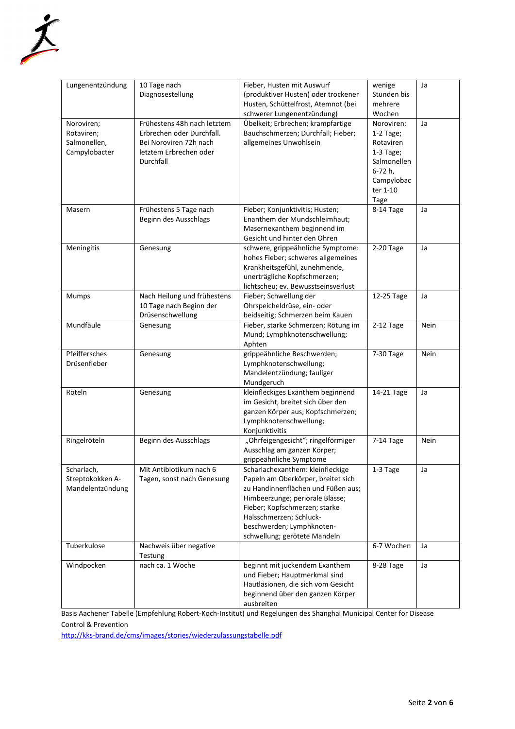

| Lungenentzündung | 10 Tage nach                                            | Fieber, Husten mit Auswurf          | wenige      | Ja          |
|------------------|---------------------------------------------------------|-------------------------------------|-------------|-------------|
|                  | Diagnosestellung<br>(produktiver Husten) oder trockener |                                     | Stunden bis |             |
|                  |                                                         | Husten, Schüttelfrost, Atemnot (bei | mehrere     |             |
|                  |                                                         |                                     |             |             |
|                  |                                                         | schwerer Lungenentzündung)          | Wochen      |             |
| Noroviren;       | Frühestens 48h nach letztem                             | Übelkeit; Erbrechen; krampfartige   | Noroviren:  | Ja          |
| Rotaviren;       | Erbrechen oder Durchfall.                               | Bauchschmerzen; Durchfall; Fieber;  | $1-2$ Tage; |             |
| Salmonellen,     | Bei Noroviren 72h nach                                  | allgemeines Unwohlsein              | Rotaviren   |             |
| Campylobacter    | letztem Erbrechen oder                                  |                                     | $1-3$ Tage; |             |
|                  | Durchfall                                               |                                     | Salmonellen |             |
|                  |                                                         |                                     | 6-72 h,     |             |
|                  |                                                         |                                     | Campylobac  |             |
|                  |                                                         |                                     | ter 1-10    |             |
|                  |                                                         |                                     | Tage        |             |
| Masern           | Frühestens 5 Tage nach                                  | Fieber; Konjunktivitis; Husten;     | 8-14 Tage   | Ja          |
|                  | Beginn des Ausschlags                                   | Enanthem der Mundschleimhaut;       |             |             |
|                  |                                                         | Masernexanthem beginnend im         |             |             |
|                  |                                                         | Gesicht und hinter den Ohren        |             |             |
| Meningitis       | Genesung                                                | schwere, grippeähnliche Symptome:   | 2-20 Tage   | Ja          |
|                  |                                                         | hohes Fieber; schweres allgemeines  |             |             |
|                  |                                                         | Krankheitsgefühl, zunehmende,       |             |             |
|                  |                                                         | unerträgliche Kopfschmerzen;        |             |             |
|                  |                                                         |                                     |             |             |
|                  |                                                         | lichtscheu; ev. Bewusstseinsverlust |             |             |
| Mumps            | Nach Heilung und frühestens                             | Fieber; Schwellung der              | 12-25 Tage  | Ja          |
|                  | 10 Tage nach Beginn der                                 | Ohrspeicheldrüse, ein- oder         |             |             |
|                  | Drüsenschwellung                                        | beidseitig; Schmerzen beim Kauen    |             |             |
| Mundfäule        | Genesung                                                | Fieber, starke Schmerzen; Rötung im | 2-12 Tage   | Nein        |
|                  |                                                         | Mund; Lymphknotenschwellung;        |             |             |
|                  |                                                         | Aphten                              |             |             |
| Pfeiffersches    | Genesung                                                | grippeähnliche Beschwerden;         | 7-30 Tage   | <b>Nein</b> |
| Drüsenfieber     |                                                         | Lymphknotenschwellung;              |             |             |
|                  |                                                         | Mandelentzündung; fauliger          |             |             |
|                  |                                                         | Mundgeruch                          |             |             |
| Röteln           | Genesung                                                | kleinfleckiges Exanthem beginnend   | 14-21 Tage  | Ja          |
|                  |                                                         | im Gesicht, breitet sich über den   |             |             |
|                  |                                                         | ganzen Körper aus; Kopfschmerzen;   |             |             |
|                  |                                                         | Lymphknotenschwellung;              |             |             |
|                  |                                                         | Konjunktivitis                      |             |             |
| Ringelröteln     | Beginn des Ausschlags                                   | "Ohrfeigengesicht"; ringelförmiger  | 7-14 Tage   | Nein        |
|                  |                                                         | Ausschlag am ganzen Körper;         |             |             |
|                  |                                                         | grippeähnliche Symptome             |             |             |
| Scharlach,       | Mit Antibiotikum nach 6                                 | Scharlachexanthem: kleinfleckige    | 1-3 Tage    | Ja          |
|                  |                                                         |                                     |             |             |
| Streptokokken A- | Tagen, sonst nach Genesung                              | Papeln am Oberkörper, breitet sich  |             |             |
| Mandelentzündung |                                                         | zu Handinnenflächen und Füßen aus;  |             |             |
|                  |                                                         | Himbeerzunge; periorale Blässe;     |             |             |
|                  |                                                         | Fieber; Kopfschmerzen; starke       |             |             |
|                  |                                                         | Halsschmerzen; Schluck-             |             |             |
|                  |                                                         | beschwerden; Lymphknoten-           |             |             |
|                  |                                                         | schwellung; gerötete Mandeln        |             |             |
| Tuberkulose      | Nachweis über negative                                  |                                     | 6-7 Wochen  | Ja          |
|                  | Testung                                                 |                                     |             |             |
| Windpocken       | nach ca. 1 Woche                                        | beginnt mit juckendem Exanthem      | 8-28 Tage   | Ja          |
|                  |                                                         | und Fieber; Hauptmerkmal sind       |             |             |
|                  |                                                         | Hautläsionen, die sich vom Gesicht  |             |             |
|                  |                                                         | beginnend über den ganzen Körper    |             |             |
|                  |                                                         | ausbreiten                          |             |             |

Basis Aachener Tabelle (Empfehlung Robert-Koch-Institut) und Regelungen des Shanghai Municipal Center for Disease Control & Prevention

<http://kks-brand.de/cms/images/stories/wiederzulassungstabelle.pdf>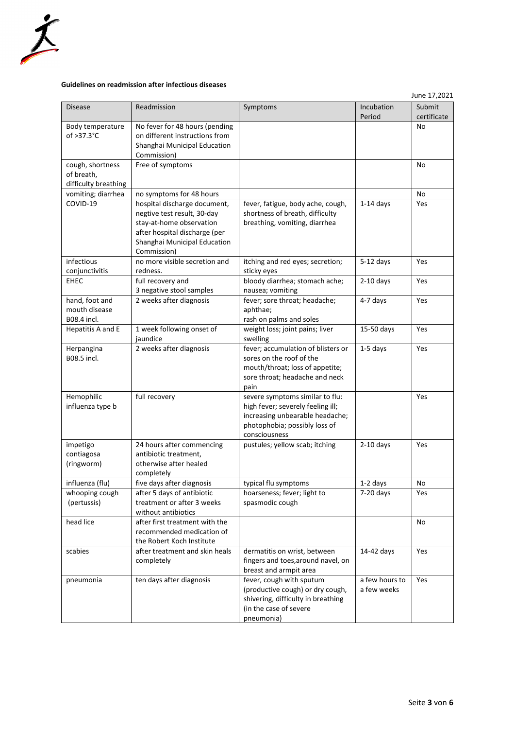

## <span id="page-2-0"></span>**Guidelines on readmission after infectious diseases**

|                                                        |                                                                                                                                                                         |                                                                                                                                                           |                               | June 17,2021          |
|--------------------------------------------------------|-------------------------------------------------------------------------------------------------------------------------------------------------------------------------|-----------------------------------------------------------------------------------------------------------------------------------------------------------|-------------------------------|-----------------------|
| <b>Disease</b>                                         | Readmission                                                                                                                                                             | Symptoms                                                                                                                                                  | Incubation<br>Period          | Submit<br>certificate |
| Body temperature<br>of $>37.3^{\circ}$ C               | No fever for 48 hours (pending<br>on different instructions from<br>Shanghai Municipal Education<br>Commission)                                                         |                                                                                                                                                           |                               | No                    |
| cough, shortness<br>of breath,<br>difficulty breathing | Free of symptoms                                                                                                                                                        |                                                                                                                                                           |                               | No                    |
| vomiting; diarrhea                                     | no symptoms for 48 hours                                                                                                                                                |                                                                                                                                                           |                               | No                    |
| COVID-19                                               | hospital discharge document,<br>negtive test result, 30-day<br>stay-at-home observation<br>after hospital discharge (per<br>Shanghai Municipal Education<br>Commission) | fever, fatigue, body ache, cough,<br>shortness of breath, difficulty<br>breathing, vomiting, diarrhea                                                     | $1-14$ days                   | Yes                   |
| infectious<br>conjunctivitis                           | no more visible secretion and<br>redness.                                                                                                                               | itching and red eyes; secretion;<br>sticky eyes                                                                                                           | $5-12$ days                   | Yes                   |
| <b>EHEC</b>                                            | full recovery and<br>3 negative stool samples                                                                                                                           | bloody diarrhea; stomach ache;<br>nausea; vomiting                                                                                                        | $2-10$ days                   | Yes                   |
| hand, foot and<br>mouth disease<br>B08.4 incl.         | 2 weeks after diagnosis                                                                                                                                                 | fever; sore throat; headache;<br>aphthae;<br>rash on palms and soles                                                                                      | 4-7 days                      | Yes                   |
| Hepatitis A and E                                      | 1 week following onset of<br>weight loss; joint pains; liver<br>iaundice<br>swelling                                                                                    |                                                                                                                                                           | 15-50 days                    | Yes                   |
| Herpangina<br>B08.5 incl.                              | 2 weeks after diagnosis                                                                                                                                                 | fever; accumulation of blisters or<br>sores on the roof of the<br>mouth/throat; loss of appetite;<br>sore throat; headache and neck<br>pain               | $1-5$ days                    | Yes                   |
| Hemophilic<br>influenza type b                         | full recovery                                                                                                                                                           | severe symptoms similar to flu:<br>high fever; severely feeling ill;<br>increasing unbearable headache;<br>photophobia; possibly loss of<br>consciousness |                               | Yes                   |
| impetigo<br>contiagosa<br>(ringworm)                   | 24 hours after commencing<br>antibiotic treatment,<br>otherwise after healed<br>completely                                                                              | pustules; yellow scab; itching                                                                                                                            | $2-10$ days                   | Yes                   |
| influenza (flu)                                        | five days after diagnosis                                                                                                                                               | typical flu symptoms                                                                                                                                      | 1-2 days                      | No                    |
| whooping cough<br>(pertussis)                          | after 5 days of antibiotic<br>treatment or after 3 weeks<br>without antibiotics                                                                                         | hoarseness; fever; light to<br>spasmodic cough                                                                                                            | $7-20$ days                   | Yes                   |
| head lice                                              | after first treatment with the<br>recommended medication of<br>the Robert Koch Institute                                                                                |                                                                                                                                                           |                               | No                    |
| scabies                                                | after treatment and skin heals<br>completely                                                                                                                            | dermatitis on wrist, between<br>fingers and toes, around navel, on<br>breast and armpit area                                                              | 14-42 days                    | Yes                   |
| pneumonia                                              | ten days after diagnosis                                                                                                                                                | fever, cough with sputum<br>(productive cough) or dry cough,<br>shivering, difficulty in breathing<br>(in the case of severe<br>pneumonia)                | a few hours to<br>a few weeks | Yes                   |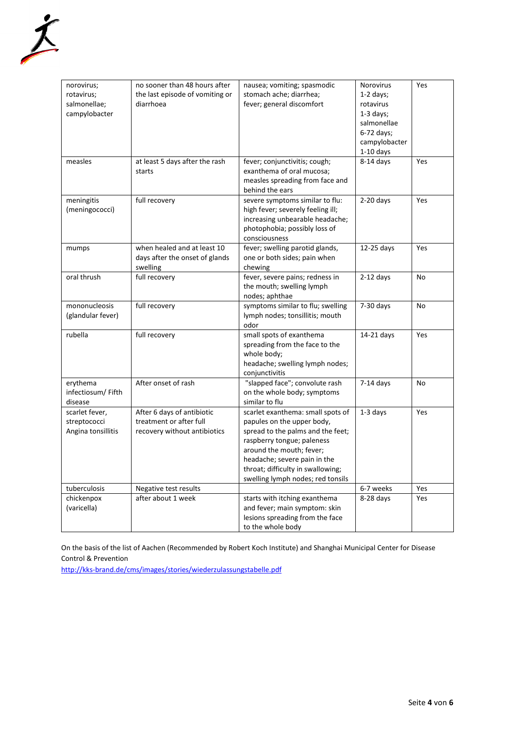

| norovirus;         | no sooner than 48 hours after<br>nausea; vomiting; spasmodic |                                   | Norovirus     | Yes       |
|--------------------|--------------------------------------------------------------|-----------------------------------|---------------|-----------|
| rotavirus;         | the last episode of vomiting or<br>stomach ache; diarrhea;   |                                   | $1-2$ days;   |           |
| salmonellae;       | diarrhoea                                                    | fever; general discomfort         | rotavirus     |           |
| campylobacter      |                                                              |                                   | $1-3$ days;   |           |
|                    |                                                              |                                   | salmonellae   |           |
|                    |                                                              |                                   | 6-72 days;    |           |
|                    |                                                              |                                   | campylobacter |           |
|                    |                                                              |                                   | $1-10$ days   |           |
| measles            | at least 5 days after the rash                               | fever; conjunctivitis; cough;     | $8-14$ days   | Yes       |
|                    | starts                                                       | exanthema of oral mucosa;         |               |           |
|                    |                                                              | measles spreading from face and   |               |           |
|                    |                                                              | behind the ears                   |               |           |
| meningitis         | full recovery                                                | severe symptoms similar to flu:   | $2-20$ days   | Yes       |
| (meningococci)     |                                                              | high fever; severely feeling ill; |               |           |
|                    |                                                              | increasing unbearable headache;   |               |           |
|                    |                                                              | photophobia; possibly loss of     |               |           |
|                    |                                                              | consciousness                     |               |           |
| mumps              | when healed and at least 10                                  | fever; swelling parotid glands,   | 12-25 days    | Yes       |
|                    | days after the onset of glands                               | one or both sides; pain when      |               |           |
|                    | swelling                                                     | chewing                           |               |           |
| oral thrush        | full recovery                                                | fever, severe pains; redness in   | $2-12$ days   | <b>No</b> |
|                    |                                                              | the mouth; swelling lymph         |               |           |
|                    |                                                              | nodes; aphthae                    |               |           |
| mononucleosis      | full recovery                                                | symptoms similar to flu; swelling | $7-30$ days   | No        |
| (glandular fever)  |                                                              | lymph nodes; tonsillitis; mouth   |               |           |
|                    |                                                              | odor                              |               |           |
| rubella            | full recovery                                                | small spots of exanthema          | 14-21 days    | Yes       |
|                    |                                                              | spreading from the face to the    |               |           |
|                    |                                                              | whole body;                       |               |           |
|                    |                                                              | headache; swelling lymph nodes;   |               |           |
|                    |                                                              | conjunctivitis                    |               |           |
| erythema           | After onset of rash                                          | "slapped face"; convolute rash    | $7-14$ days   | No        |
| infectiosum/Fifth  |                                                              | on the whole body; symptoms       |               |           |
| disease            |                                                              | similar to flu                    |               |           |
| scarlet fever,     | After 6 days of antibiotic                                   | scarlet exanthema: small spots of | $1-3$ days    | Yes       |
| streptococci       | treatment or after full                                      | papules on the upper body,        |               |           |
| Angina tonsillitis | recovery without antibiotics                                 | spread to the palms and the feet; |               |           |
|                    |                                                              | raspberry tongue; paleness        |               |           |
|                    |                                                              | around the mouth; fever;          |               |           |
|                    |                                                              | headache; severe pain in the      |               |           |
|                    |                                                              |                                   |               |           |
|                    |                                                              | throat; difficulty in swallowing; |               |           |
| tuberculosis       | Negative test results                                        | swelling lymph nodes; red tonsils | 6-7 weeks     | Yes       |
|                    |                                                              |                                   |               |           |
| chickenpox         | after about 1 week                                           | starts with itching exanthema     | 8-28 days     | Yes       |
| (varicella)        |                                                              | and fever; main symptom: skin     |               |           |
|                    |                                                              | lesions spreading from the face   |               |           |
|                    |                                                              | to the whole body                 |               |           |

On the basis of the list of Aachen (Recommended by Robert Koch Institute) and Shanghai Municipal Center for Disease Control & Prevention

<http://kks-brand.de/cms/images/stories/wiederzulassungstabelle.pdf>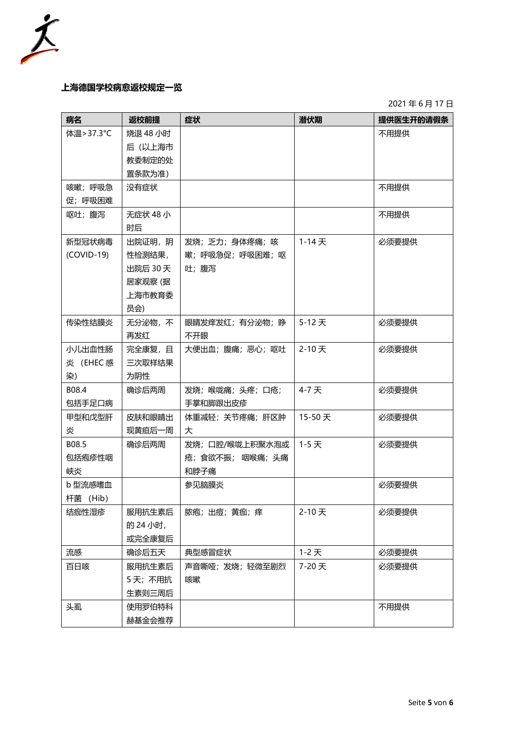

## <span id="page-4-0"></span>**上海德国学校病愈返校规定一览**

2021 年 6 月 17 日

| 病名           | 返校前提     | 症状               | 潜伏期      | 提供医生开的请假条 |
|--------------|----------|------------------|----------|-----------|
| 体温>37.3°C    | 烧退 48 小时 |                  |          | 不用提供      |
|              | 后 (以上海市  |                  |          |           |
|              | 教委制定的处   |                  |          |           |
|              | 置条款为准)   |                  |          |           |
| 咳嗽; 呼吸急      | 没有症状     |                  |          | 不用提供      |
| 促; 呼吸困难      |          |                  |          |           |
| 呕吐;腹泻        | 无症状 48 小 |                  |          | 不用提供      |
|              | 时后       |                  |          |           |
| 新型冠状病毒       | 出院证明,阴   | 发烧;乏力;身体疼痛;咳     | $1-14$ 天 | 必须要提供     |
| $(COVID-19)$ | 性检测结果,   | 嗽; 呼吸急促; 呼吸困难; 呕 |          |           |
|              | 出院后 30 天 | 吐;腹泻             |          |           |
|              | 居家观察 (据  |                  |          |           |
|              | 上海市教育委   |                  |          |           |
|              | 员会)      |                  |          |           |
| 传染性结膜炎       | 无分泌物,不   | 眼睛发痒发红; 有分泌物; 睁  | 5-12天    | 必须要提供     |
|              | 再发红      | 不开眼              |          |           |
| 小儿出血性肠       | 完全康复, 且  | 大便出血;腹痛;恶心;呕吐    | 2-10天    | 必须要提供     |
| 炎 (EHEC 感    | 三次取样结果   |                  |          |           |
| 染)           | 为阴性      |                  |          |           |
| B08.4        | 确诊后两周    | 发烧;喉咙痛;头疼;口疮;    | 4-7天     | 必须要提供     |
| 包括手足口病       |          | 手掌和脚跟出皮疹         |          |           |
| 甲型和戊型肝       | 皮肤和眼睛出   | 体重减轻;关节疼痛;肝区肿    | 15-50天   | 必须要提供     |
| 炎            | 现黄疸后一周   | 大                |          |           |
| B08.5        | 确诊后两周    | 发烧;口腔/喉咙上积聚水泡或   | 1-5天     | 必须要提供     |
| 包括疱疹性咽       |          | 疮; 食欲不振; 咽喉痛; 头痛 |          |           |
| 峡炎           |          | 和脖子痛             |          |           |
| b 型流感嗜血      |          | 参见脑膜炎            |          | 必须要提供     |
| 杆菌 (Hib)     |          |                  |          |           |
| 结痂性湿疹        | 服用抗生素后   | 脓疱; 出痘; 黄痂; 痒    | 2-10天    | 必须要提供     |
|              | 的 24 小时, |                  |          |           |
|              | 或完全康复后   |                  |          |           |
| 流感           | 确诊后五天    | 典型感冒症状           | $1-2$ 天  | 必须要提供     |
| 百日咳          | 服用抗生素后   | 声音嘶哑; 发烧; 轻微至剧烈  | 7-20天    | 必须要提供     |
|              | 5天;不用抗   | 咳嗽               |          |           |
|              | 生素则三周后   |                  |          |           |
| 头虱           | 使用罗伯特科   |                  |          | 不用提供      |
|              | 赫基金会推荐   |                  |          |           |